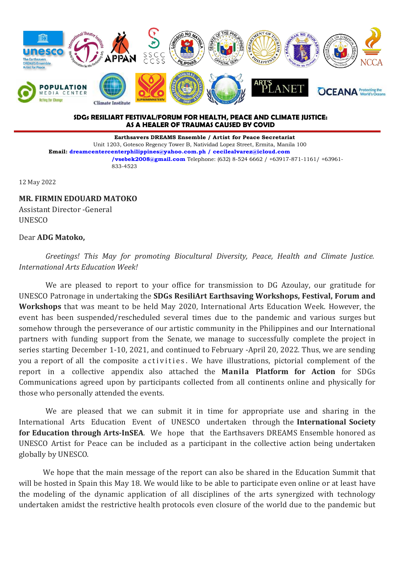

## **SDGs RESILIART FESTIVAL/FORUM FOR HEALTH, PEACE AND CLIMATE JUSTICE: AS A HEALER OF TRAUMAS CAUSED BY COVID**

**Earthsavers DREAMS Ensemble / Artist for Peace Secretariat** Unit 1203, Gotesco Regency Tower B, Natividad Lopez Street, Ermita, Manila 100 **Email: [dreamcentercenterphilippines@yahoo.com.ph](mailto:dreamcentercenterphilippines@yahoo.com.ph) / [cecilealvarez@icloud.com](mailto:cecilealvarez@icloud.com) /vsebek2008@gmail.com** Telephone: (632) 8-524 6662 / +63917-871-1161/ +63961- 833-4523

12 May 2022

## **MR. FIRMIN EDOUARD MATOKO**

Assistant Director -General **UNESCO** 

## Dear **ADG Matoko,**

*Greetings! This May for promoting Biocultural Diversity, Peace, Health and Climate Justice. International Arts Education Week!*

We are pleased to report to your office for transmission to DG Azoulay, our gratitude for UNESCO Patronage in undertaking the **SDGs ResiliArt Earthsaving Workshops, Festival, Forum and Workshops** that was meant to be held May 2020, International Arts Education Week. However, the event has been suspended/rescheduled several times due to the pandemic and various surges but somehow through the perseverance of our artistic community in the Philippines and our International partners with funding support from the Senate, we manage to successfully complete the project in series starting December 1-10, 2021, and continued to February -April 20, 2022. Thus, we are sending you a report of all the composite activities. We have illustrations, pictorial complement of the report in acollective appendix also attached the **Manila Platform for Action** for SDGs Communications agreed upon by participants collected from all continents online and physically for those who personally attended the events.

We are pleased that we can submit it in time for appropriate use and sharing in the International Arts Education Event of UNESCO undertaken through the International Society **for Education through Arts-InSEA**. We hope that the Earthsavers DREAMS Ensemble honored as UNESCO Artist for Peace can be included as a participant in the collective action being undertaken globally by UNESCO.

We hope that the main message of the report can also be shared in the Education Summit that will be hosted in Spain this May 18. We would like to be able to participate even online or at least have the modeling of the dynamic application of all disciplines of the arts synergized with technology undertaken amidst the restrictive health protocols even closure of the world due to the pandemic but